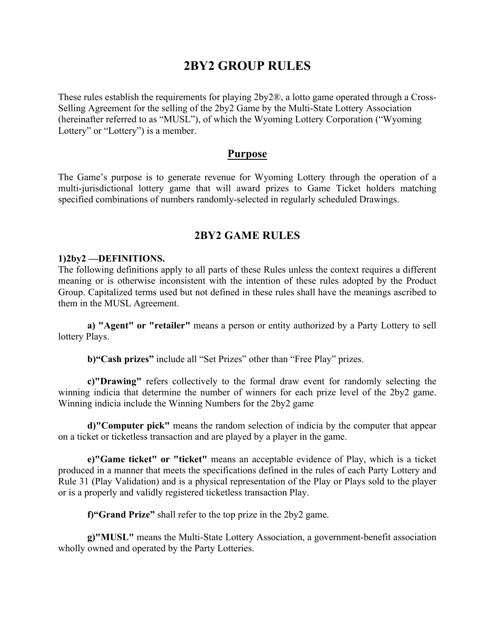# **2BY2 GROUP RULES**

These rules establish the requirements for playing 2by2®, a lotto game operated through a Cross-Selling Agreement for the selling of the 2by2 Game by the Multi-State Lottery Association (hereinafter referred to as "MUSL"), of which the Wyoming Lottery Corporation ("Wyoming Lottery" or "Lottery") is a member.

## **Purpose**

The Game's purpose is to generate revenue for Wyoming Lottery through the operation of a multi-jurisdictional lottery game that will award prizes to Game Ticket holders matching specified combinations of numbers randomly-selected in regularly scheduled Drawings.

# **2BY2 GAME RULES**

#### **1)2by2 —DEFINITIONS.**

The following definitions apply to all parts of these Rules unless the context requires a different meaning or is otherwise inconsistent with the intention of these rules adopted by the Product Group. Capitalized terms used but not defined in these rules shall have the meanings ascribed to them in the MUSL Agreement.

**a) "Agent" or "retailer"** means a person or entity authorized by a Party Lottery to sell lottery Plays.

**b)"Cash prizes"** include all "Set Prizes" other than "Free Play" prizes.

**c)"Drawing"** refers collectively to the formal draw event for randomly selecting the winning indicia that determine the number of winners for each prize level of the 2by2 game. Winning indicia include the Winning Numbers for the 2by2 game

**d)"Computer pick"** means the random selection of indicia by the computer that appear on a ticket or ticketless transaction and are played by a player in the game.

**e)"Game ticket" or "ticket"** means an acceptable evidence of Play, which is a ticket produced in a manner that meets the specifications defined in the rules of each Party Lottery and Rule 31 (Play Validation) and is a physical representation of the Play or Plays sold to the player or is a properly and validly registered ticketless transaction Play.

**f)"Grand Prize"** shall refer to the top prize in the 2by2 game.

**g)"MUSL"** means the Multi-State Lottery Association, a government-benefit association wholly owned and operated by the Party Lotteries.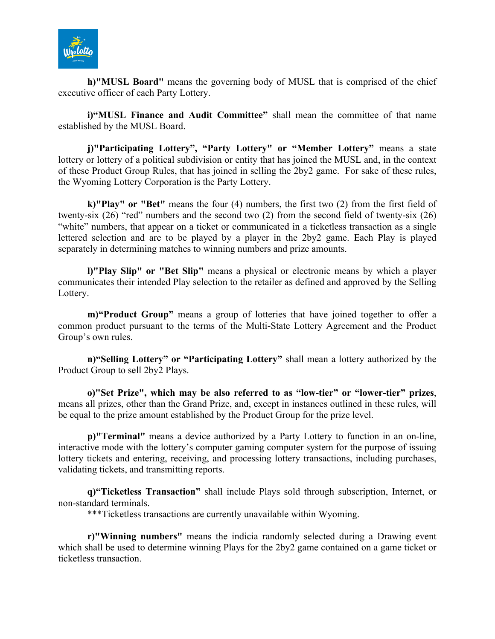

**h)"MUSL Board"** means the governing body of MUSL that is comprised of the chief executive officer of each Party Lottery.

**i)"MUSL Finance and Audit Committee"** shall mean the committee of that name established by the MUSL Board.

**j)"Participating Lottery", "Party Lottery" or "Member Lottery"** means a state lottery or lottery of a political subdivision or entity that has joined the MUSL and, in the context of these Product Group Rules, that has joined in selling the 2by2 game. For sake of these rules, the Wyoming Lottery Corporation is the Party Lottery.

**k)"Play" or "Bet"** means the four (4) numbers, the first two (2) from the first field of twenty-six  $(26)$  "red" numbers and the second two  $(2)$  from the second field of twenty-six  $(26)$ "white" numbers, that appear on a ticket or communicated in a ticketless transaction as a single lettered selection and are to be played by a player in the 2by2 game. Each Play is played separately in determining matches to winning numbers and prize amounts.

**l)"Play Slip" or "Bet Slip"** means a physical or electronic means by which a player communicates their intended Play selection to the retailer as defined and approved by the Selling Lottery.

**m)"Product Group"** means a group of lotteries that have joined together to offer a common product pursuant to the terms of the Multi-State Lottery Agreement and the Product Group's own rules.

**n)"Selling Lottery" or "Participating Lottery"** shall mean a lottery authorized by the Product Group to sell 2by2 Plays.

**o)"Set Prize", which may be also referred to as "low-tier" or "lower-tier" prizes**, means all prizes, other than the Grand Prize, and, except in instances outlined in these rules, will be equal to the prize amount established by the Product Group for the prize level.

**p)"Terminal"** means a device authorized by a Party Lottery to function in an on-line, interactive mode with the lottery's computer gaming computer system for the purpose of issuing lottery tickets and entering, receiving, and processing lottery transactions, including purchases, validating tickets, and transmitting reports.

**q)"Ticketless Transaction"** shall include Plays sold through subscription, Internet, or non-standard terminals.

\*\*\*Ticketless transactions are currently unavailable within Wyoming.

**r)"Winning numbers"** means the indicia randomly selected during a Drawing event which shall be used to determine winning Plays for the 2by2 game contained on a game ticket or ticketless transaction.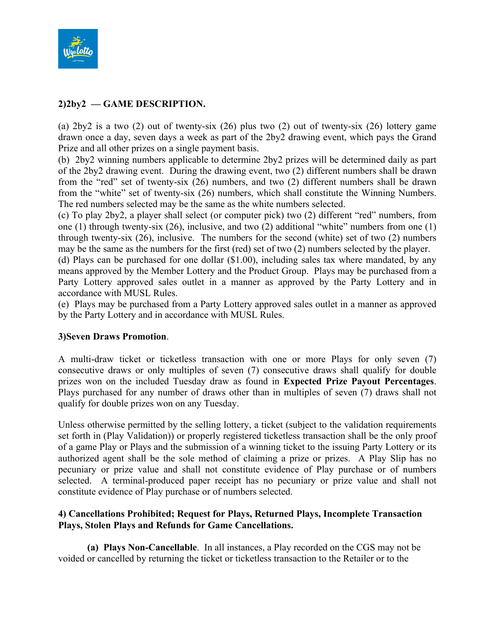

# **2)2by2 — GAME DESCRIPTION.**

(a) 2by2 is a two (2) out of twenty-six (26) plus two (2) out of twenty-six (26) lottery game drawn once a day, seven days a week as part of the 2by2 drawing event, which pays the Grand Prize and all other prizes on a single payment basis.

(b) 2by2 winning numbers applicable to determine 2by2 prizes will be determined daily as part of the 2by2 drawing event. During the drawing event, two (2) different numbers shall be drawn from the "red" set of twenty-six (26) numbers, and two (2) different numbers shall be drawn from the "white" set of twenty-six (26) numbers, which shall constitute the Winning Numbers. The red numbers selected may be the same as the white numbers selected.

(c) To play 2by2, a player shall select (or computer pick) two (2) different "red" numbers, from one (1) through twenty-six (26), inclusive, and two (2) additional "white" numbers from one (1) through twenty-six (26), inclusive. The numbers for the second (white) set of two (2) numbers may be the same as the numbers for the first (red) set of two (2) numbers selected by the player.

(d) Plays can be purchased for one dollar (\$1.00), including sales tax where mandated, by any means approved by the Member Lottery and the Product Group. Plays may be purchased from a Party Lottery approved sales outlet in a manner as approved by the Party Lottery and in accordance with MUSL Rules.

(e) Plays may be purchased from a Party Lottery approved sales outlet in a manner as approved by the Party Lottery and in accordance with MUSL Rules.

#### **3)Seven Draws Promotion**.

A multi-draw ticket or ticketless transaction with one or more Plays for only seven (7) consecutive draws or only multiples of seven (7) consecutive draws shall qualify for double prizes won on the included Tuesday draw as found in **Expected Prize Payout Percentages**. Plays purchased for any number of draws other than in multiples of seven (7) draws shall not qualify for double prizes won on any Tuesday.

Unless otherwise permitted by the selling lottery, a ticket (subject to the validation requirements set forth in (Play Validation)) or properly registered ticketless transaction shall be the only proof of a game Play or Plays and the submission of a winning ticket to the issuing Party Lottery or its authorized agent shall be the sole method of claiming a prize or prizes. A Play Slip has no pecuniary or prize value and shall not constitute evidence of Play purchase or of numbers selected. A terminal-produced paper receipt has no pecuniary or prize value and shall not constitute evidence of Play purchase or of numbers selected.

# **4) Cancellations Prohibited; Request for Plays, Returned Plays, Incomplete Transaction Plays, Stolen Plays and Refunds for Game Cancellations.**

**(a) Plays Non-Cancellable**. In all instances, a Play recorded on the CGS may not be voided or cancelled by returning the ticket or ticketless transaction to the Retailer or to the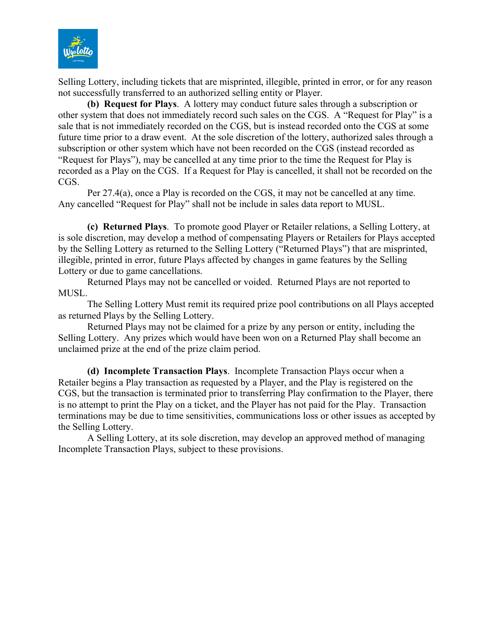

Selling Lottery, including tickets that are misprinted, illegible, printed in error, or for any reason not successfully transferred to an authorized selling entity or Player.

**(b) Request for Plays**. A lottery may conduct future sales through a subscription or other system that does not immediately record such sales on the CGS. A "Request for Play" is a sale that is not immediately recorded on the CGS, but is instead recorded onto the CGS at some future time prior to a draw event. At the sole discretion of the lottery, authorized sales through a subscription or other system which have not been recorded on the CGS (instead recorded as "Request for Plays"), may be cancelled at any time prior to the time the Request for Play is recorded as a Play on the CGS. If a Request for Play is cancelled, it shall not be recorded on the CGS.

Per 27.4(a), once a Play is recorded on the CGS, it may not be cancelled at any time. Any cancelled "Request for Play" shall not be include in sales data report to MUSL.

**(c) Returned Plays**. To promote good Player or Retailer relations, a Selling Lottery, at is sole discretion, may develop a method of compensating Players or Retailers for Plays accepted by the Selling Lottery as returned to the Selling Lottery ("Returned Plays") that are misprinted, illegible, printed in error, future Plays affected by changes in game features by the Selling Lottery or due to game cancellations.

Returned Plays may not be cancelled or voided. Returned Plays are not reported to MUSL.

The Selling Lottery Must remit its required prize pool contributions on all Plays accepted as returned Plays by the Selling Lottery.

Returned Plays may not be claimed for a prize by any person or entity, including the Selling Lottery. Any prizes which would have been won on a Returned Play shall become an unclaimed prize at the end of the prize claim period.

**(d) Incomplete Transaction Plays**. Incomplete Transaction Plays occur when a Retailer begins a Play transaction as requested by a Player, and the Play is registered on the CGS, but the transaction is terminated prior to transferring Play confirmation to the Player, there is no attempt to print the Play on a ticket, and the Player has not paid for the Play. Transaction terminations may be due to time sensitivities, communications loss or other issues as accepted by the Selling Lottery.

A Selling Lottery, at its sole discretion, may develop an approved method of managing Incomplete Transaction Plays, subject to these provisions.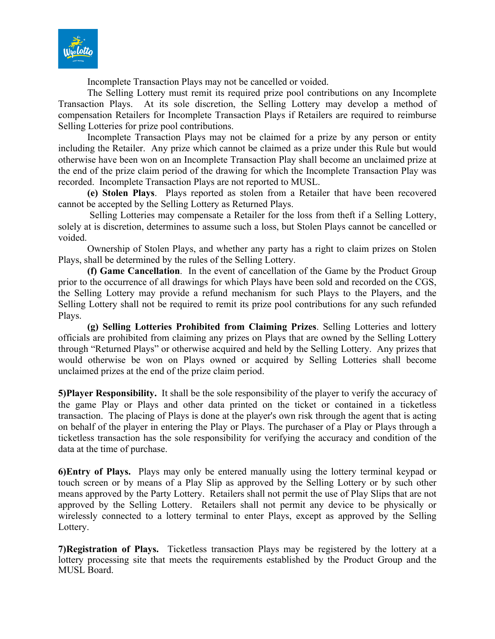

Incomplete Transaction Plays may not be cancelled or voided.

The Selling Lottery must remit its required prize pool contributions on any Incomplete Transaction Plays. At its sole discretion, the Selling Lottery may develop a method of compensation Retailers for Incomplete Transaction Plays if Retailers are required to reimburse Selling Lotteries for prize pool contributions.

Incomplete Transaction Plays may not be claimed for a prize by any person or entity including the Retailer. Any prize which cannot be claimed as a prize under this Rule but would otherwise have been won on an Incomplete Transaction Play shall become an unclaimed prize at the end of the prize claim period of the drawing for which the Incomplete Transaction Play was recorded. Incomplete Transaction Plays are not reported to MUSL.

**(e) Stolen Plays**. Plays reported as stolen from a Retailer that have been recovered cannot be accepted by the Selling Lottery as Returned Plays.

Selling Lotteries may compensate a Retailer for the loss from theft if a Selling Lottery, solely at is discretion, determines to assume such a loss, but Stolen Plays cannot be cancelled or voided.

Ownership of Stolen Plays, and whether any party has a right to claim prizes on Stolen Plays, shall be determined by the rules of the Selling Lottery.

**(f) Game Cancellation**. In the event of cancellation of the Game by the Product Group prior to the occurrence of all drawings for which Plays have been sold and recorded on the CGS, the Selling Lottery may provide a refund mechanism for such Plays to the Players, and the Selling Lottery shall not be required to remit its prize pool contributions for any such refunded Plays.

**(g) Selling Lotteries Prohibited from Claiming Prizes**. Selling Lotteries and lottery officials are prohibited from claiming any prizes on Plays that are owned by the Selling Lottery through "Returned Plays" or otherwise acquired and held by the Selling Lottery. Any prizes that would otherwise be won on Plays owned or acquired by Selling Lotteries shall become unclaimed prizes at the end of the prize claim period.

**5)Player Responsibility.** It shall be the sole responsibility of the player to verify the accuracy of the game Play or Plays and other data printed on the ticket or contained in a ticketless transaction. The placing of Plays is done at the player's own risk through the agent that is acting on behalf of the player in entering the Play or Plays. The purchaser of a Play or Plays through a ticketless transaction has the sole responsibility for verifying the accuracy and condition of the data at the time of purchase.

**6)Entry of Plays.** Plays may only be entered manually using the lottery terminal keypad or touch screen or by means of a Play Slip as approved by the Selling Lottery or by such other means approved by the Party Lottery. Retailers shall not permit the use of Play Slips that are not approved by the Selling Lottery. Retailers shall not permit any device to be physically or wirelessly connected to a lottery terminal to enter Plays, except as approved by the Selling Lottery.

**7)Registration of Plays.** Ticketless transaction Plays may be registered by the lottery at a lottery processing site that meets the requirements established by the Product Group and the MUSL Board.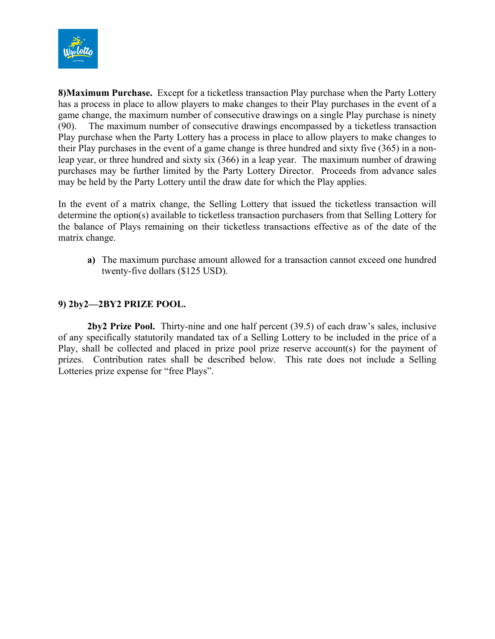

**8)Maximum Purchase.** Except for a ticketless transaction Play purchase when the Party Lottery has a process in place to allow players to make changes to their Play purchases in the event of a game change, the maximum number of consecutive drawings on a single Play purchase is ninety (90). The maximum number of consecutive drawings encompassed by a ticketless transaction Play purchase when the Party Lottery has a process in place to allow players to make changes to their Play purchases in the event of a game change is three hundred and sixty five (365) in a nonleap year, or three hundred and sixty six (366) in a leap year. The maximum number of drawing purchases may be further limited by the Party Lottery Director. Proceeds from advance sales may be held by the Party Lottery until the draw date for which the Play applies.

In the event of a matrix change, the Selling Lottery that issued the ticketless transaction will determine the option(s) available to ticketless transaction purchasers from that Selling Lottery for the balance of Plays remaining on their ticketless transactions effective as of the date of the matrix change.

**a)** The maximum purchase amount allowed for a transaction cannot exceed one hundred twenty-five dollars (\$125 USD).

# **9) 2by2—2BY2 PRIZE POOL.**

**2by2 Prize Pool.** Thirty-nine and one half percent (39.5) of each draw's sales, inclusive of any specifically statutorily mandated tax of a Selling Lottery to be included in the price of a Play, shall be collected and placed in prize pool prize reserve account(s) for the payment of prizes. Contribution rates shall be described below. This rate does not include a Selling Lotteries prize expense for "free Plays".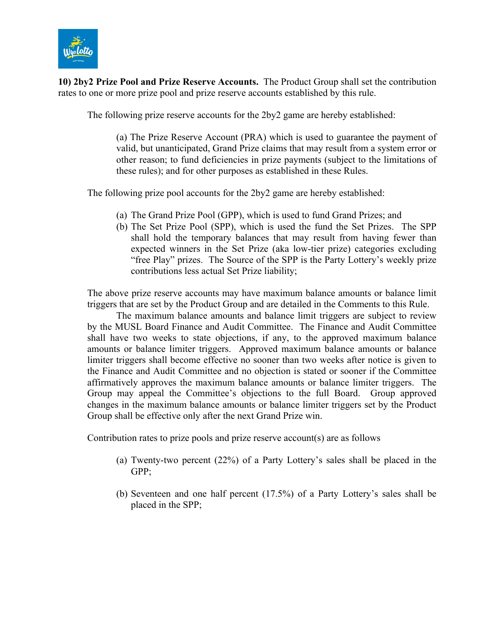

**10) 2by2 Prize Pool and Prize Reserve Accounts.** The Product Group shall set the contribution rates to one or more prize pool and prize reserve accounts established by this rule.

The following prize reserve accounts for the 2by2 game are hereby established:

(a) The Prize Reserve Account (PRA) which is used to guarantee the payment of valid, but unanticipated, Grand Prize claims that may result from a system error or other reason; to fund deficiencies in prize payments (subject to the limitations of these rules); and for other purposes as established in these Rules.

The following prize pool accounts for the 2by2 game are hereby established:

- (a) The Grand Prize Pool (GPP), which is used to fund Grand Prizes; and
- (b) The Set Prize Pool (SPP), which is used the fund the Set Prizes. The SPP shall hold the temporary balances that may result from having fewer than expected winners in the Set Prize (aka low-tier prize) categories excluding "free Play" prizes. The Source of the SPP is the Party Lottery's weekly prize contributions less actual Set Prize liability;

The above prize reserve accounts may have maximum balance amounts or balance limit triggers that are set by the Product Group and are detailed in the Comments to this Rule.

The maximum balance amounts and balance limit triggers are subject to review by the MUSL Board Finance and Audit Committee. The Finance and Audit Committee shall have two weeks to state objections, if any, to the approved maximum balance amounts or balance limiter triggers. Approved maximum balance amounts or balance limiter triggers shall become effective no sooner than two weeks after notice is given to the Finance and Audit Committee and no objection is stated or sooner if the Committee affirmatively approves the maximum balance amounts or balance limiter triggers. The Group may appeal the Committee's objections to the full Board. Group approved changes in the maximum balance amounts or balance limiter triggers set by the Product Group shall be effective only after the next Grand Prize win.

Contribution rates to prize pools and prize reserve account(s) are as follows

- (a) Twenty-two percent (22%) of a Party Lottery's sales shall be placed in the GPP;
- (b) Seventeen and one half percent (17.5%) of a Party Lottery's sales shall be placed in the SPP;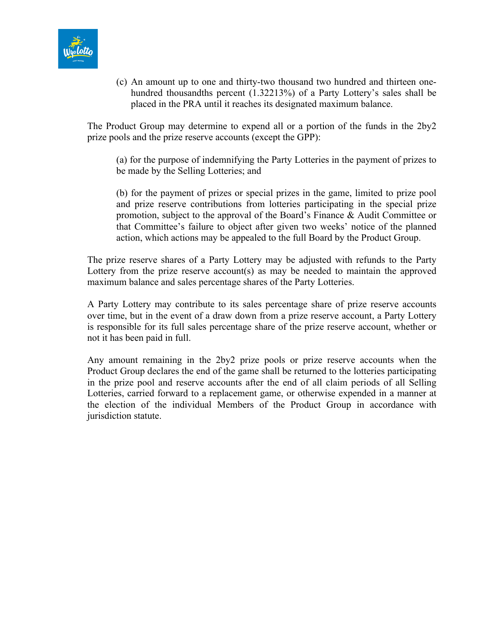

(c) An amount up to one and thirty-two thousand two hundred and thirteen onehundred thousandths percent (1.32213%) of a Party Lottery's sales shall be placed in the PRA until it reaches its designated maximum balance.

The Product Group may determine to expend all or a portion of the funds in the 2by2 prize pools and the prize reserve accounts (except the GPP):

(a) for the purpose of indemnifying the Party Lotteries in the payment of prizes to be made by the Selling Lotteries; and

(b) for the payment of prizes or special prizes in the game, limited to prize pool and prize reserve contributions from lotteries participating in the special prize promotion, subject to the approval of the Board's Finance & Audit Committee or that Committee's failure to object after given two weeks' notice of the planned action, which actions may be appealed to the full Board by the Product Group.

The prize reserve shares of a Party Lottery may be adjusted with refunds to the Party Lottery from the prize reserve account(s) as may be needed to maintain the approved maximum balance and sales percentage shares of the Party Lotteries.

A Party Lottery may contribute to its sales percentage share of prize reserve accounts over time, but in the event of a draw down from a prize reserve account, a Party Lottery is responsible for its full sales percentage share of the prize reserve account, whether or not it has been paid in full.

Any amount remaining in the 2by2 prize pools or prize reserve accounts when the Product Group declares the end of the game shall be returned to the lotteries participating in the prize pool and reserve accounts after the end of all claim periods of all Selling Lotteries, carried forward to a replacement game, or otherwise expended in a manner at the election of the individual Members of the Product Group in accordance with jurisdiction statute.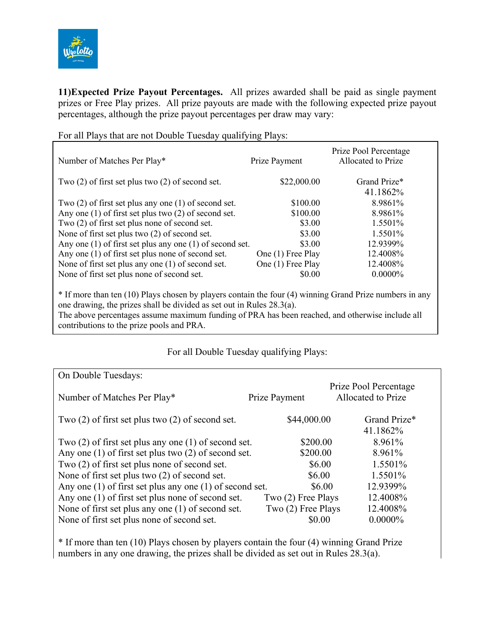

**11)Expected Prize Payout Percentages.** All prizes awarded shall be paid as single payment prizes or Free Play prizes. All prize payouts are made with the following expected prize payout percentages, although the prize payout percentages per draw may vary:

| Number of Matches Per Play*                                                                             | Prize Payment     | Prize Pool Percentage<br>Allocated to Prize |
|---------------------------------------------------------------------------------------------------------|-------------------|---------------------------------------------|
| Two $(2)$ of first set plus two $(2)$ of second set.                                                    | \$22,000.00       | Grand Prize*                                |
|                                                                                                         |                   | 41.1862%                                    |
| Two $(2)$ of first set plus any one $(1)$ of second set.                                                | \$100.00          | 8.9861%                                     |
| Any one $(1)$ of first set plus two $(2)$ of second set.                                                | \$100.00          | 8.9861%                                     |
| Two (2) of first set plus none of second set.                                                           | \$3.00            | 1.5501%                                     |
| None of first set plus two (2) of second set.                                                           | \$3.00            | 1.5501%                                     |
| Any one $(1)$ of first set plus any one $(1)$ of second set.                                            | \$3.00            | 12.9399%                                    |
| Any one (1) of first set plus none of second set.                                                       | One (1) Free Play | 12.4008%                                    |
| None of first set plus any one (1) of second set.                                                       | One (1) Free Play | 12.4008%                                    |
| None of first set plus none of second set.                                                              | \$0.00            | $0.0000\%$                                  |
| * If more than ten (10) Plays chosen by players contain the four (4) winning Grand Prize numbers in any |                   |                                             |

For all Plays that are not Double Tuesday qualifying Plays:

one drawing, the prizes shall be divided as set out in Rules 28.3(a). The above percentages assume maximum funding of PRA has been reached, and otherwise include all contributions to the prize pools and PRA.

# For all Double Tuesday qualifying Plays:

| On Double Tuesdays:                                          |                     |                                             |
|--------------------------------------------------------------|---------------------|---------------------------------------------|
| Number of Matches Per Play*                                  | Prize Payment       | Prize Pool Percentage<br>Allocated to Prize |
| Two $(2)$ of first set plus two $(2)$ of second set.         | \$44,000.00         | Grand Prize*<br>41.1862%                    |
| Two $(2)$ of first set plus any one $(1)$ of second set.     | \$200.00            | 8.961%                                      |
| Any one $(1)$ of first set plus two $(2)$ of second set.     | \$200.00            | 8.961%                                      |
| Two (2) of first set plus none of second set.                | \$6.00              | 1.5501%                                     |
| None of first set plus two $(2)$ of second set.              | \$6.00              | 1.5501%                                     |
| Any one $(1)$ of first set plus any one $(1)$ of second set. | \$6.00              | 12.9399%                                    |
| Any one (1) of first set plus none of second set.            | $Two(2)$ Free Plays | 12.4008%                                    |
| None of first set plus any one (1) of second set.            | Two (2) Free Plays  | 12.4008%                                    |
| None of first set plus none of second set.                   | \$0.00              | $0.0000\%$                                  |

\* If more than ten (10) Plays chosen by players contain the four (4) winning Grand Prize numbers in any one drawing, the prizes shall be divided as set out in Rules 28.3(a).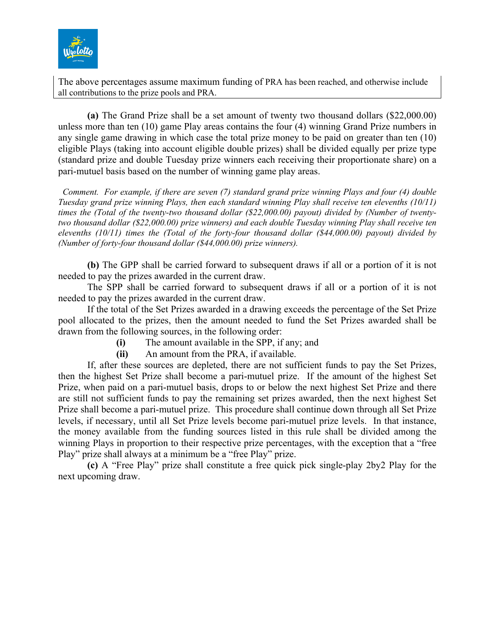

The above percentages assume maximum funding of PRA has been reached, and otherwise include all contributions to the prize pools and PRA.

**(a)** The Grand Prize shall be a set amount of twenty two thousand dollars (\$22,000.00) unless more than ten (10) game Play areas contains the four (4) winning Grand Prize numbers in any single game drawing in which case the total prize money to be paid on greater than ten (10) eligible Plays (taking into account eligible double prizes) shall be divided equally per prize type (standard prize and double Tuesday prize winners each receiving their proportionate share) on a pari-mutuel basis based on the number of winning game play areas.

 *Comment. For example, if there are seven (7) standard grand prize winning Plays and four (4) double Tuesday grand prize winning Plays, then each standard winning Play shall receive ten elevenths (10/11) times the (Total of the twenty-two thousand dollar (\$22,000.00) payout) divided by (Number of twentytwo thousand dollar (\$22,000.00) prize winners) and each double Tuesday winning Play shall receive ten elevenths (10/11) times the (Total of the forty-four thousand dollar (\$44,000.00) payout) divided by (Number of forty-four thousand dollar (\$44,000.00) prize winners).* 

**(b)** The GPP shall be carried forward to subsequent draws if all or a portion of it is not needed to pay the prizes awarded in the current draw.

The SPP shall be carried forward to subsequent draws if all or a portion of it is not needed to pay the prizes awarded in the current draw.

If the total of the Set Prizes awarded in a drawing exceeds the percentage of the Set Prize pool allocated to the prizes, then the amount needed to fund the Set Prizes awarded shall be drawn from the following sources, in the following order:

**(i)** The amount available in the SPP, if any; and

**(ii)** An amount from the PRA, if available.

If, after these sources are depleted, there are not sufficient funds to pay the Set Prizes, then the highest Set Prize shall become a pari-mutuel prize. If the amount of the highest Set Prize, when paid on a pari-mutuel basis, drops to or below the next highest Set Prize and there are still not sufficient funds to pay the remaining set prizes awarded, then the next highest Set Prize shall become a pari-mutuel prize. This procedure shall continue down through all Set Prize levels, if necessary, until all Set Prize levels become pari-mutuel prize levels. In that instance, the money available from the funding sources listed in this rule shall be divided among the winning Plays in proportion to their respective prize percentages, with the exception that a "free Play" prize shall always at a minimum be a "free Play" prize.

**(c)** A "Free Play" prize shall constitute a free quick pick single-play 2by2 Play for the next upcoming draw.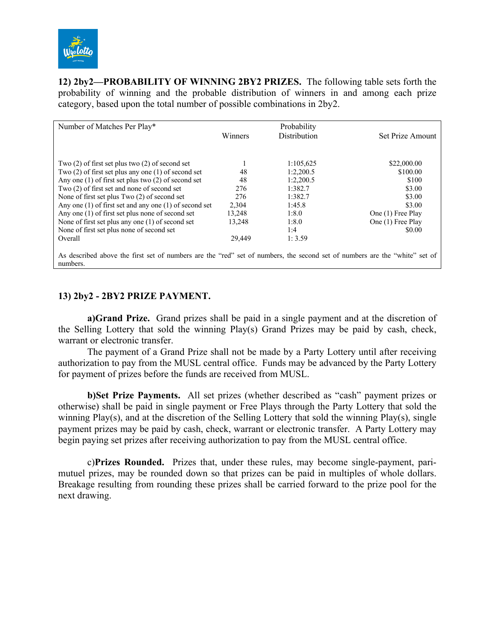

**12) 2by2—PROBABILITY OF WINNING 2BY2 PRIZES.** The following table sets forth the probability of winning and the probable distribution of winners in and among each prize category, based upon the total number of possible combinations in 2by2.

| Number of Matches Per Play*                                                                                                            |         | Probability         |                   |
|----------------------------------------------------------------------------------------------------------------------------------------|---------|---------------------|-------------------|
|                                                                                                                                        | Winners | <b>Distribution</b> | Set Prize Amount  |
|                                                                                                                                        |         |                     |                   |
| Two $(2)$ of first set plus two $(2)$ of second set                                                                                    |         | 1:105,625           | \$22,000.00       |
| Two $(2)$ of first set plus any one $(1)$ of second set                                                                                | 48      | 1:2,200.5           | \$100.00          |
| Any one $(1)$ of first set plus two $(2)$ of second set                                                                                | 48      | 1:2.200.5           | \$100             |
| Two (2) of first set and none of second set                                                                                            | 276     | 1:382.7             | \$3.00            |
| None of first set plus Two (2) of second set                                                                                           | 276     | 1:382.7             | \$3.00            |
| Any one $(1)$ of first set and any one $(1)$ of second set                                                                             | 2,304   | 1:45.8              | \$3.00            |
| Any one $(1)$ of first set plus none of second set                                                                                     | 13.248  | 1:8.0               | One (1) Free Play |
| None of first set plus any one (1) of second set                                                                                       | 13,248  | 1:8.0               | One (1) Free Play |
| None of first set plus none of second set                                                                                              |         | 1:4                 | \$0.00            |
| Overall                                                                                                                                | 29.449  | 1:3.59              |                   |
|                                                                                                                                        |         |                     |                   |
| As described above the first set of numbers are the "red" set of numbers, the second set of numbers are the "white" set of<br>numbers. |         |                     |                   |

### **13) 2by2 - 2BY2 PRIZE PAYMENT.**

**a)Grand Prize.** Grand prizes shall be paid in a single payment and at the discretion of the Selling Lottery that sold the winning Play(s) Grand Prizes may be paid by cash, check, warrant or electronic transfer.

The payment of a Grand Prize shall not be made by a Party Lottery until after receiving authorization to pay from the MUSL central office. Funds may be advanced by the Party Lottery for payment of prizes before the funds are received from MUSL.

**b)Set Prize Payments.** All set prizes (whether described as "cash" payment prizes or otherwise) shall be paid in single payment or Free Plays through the Party Lottery that sold the winning Play(s), and at the discretion of the Selling Lottery that sold the winning Play(s), single payment prizes may be paid by cash, check, warrant or electronic transfer. A Party Lottery may begin paying set prizes after receiving authorization to pay from the MUSL central office.

c)**Prizes Rounded.** Prizes that, under these rules, may become single-payment, parimutuel prizes, may be rounded down so that prizes can be paid in multiples of whole dollars. Breakage resulting from rounding these prizes shall be carried forward to the prize pool for the next drawing.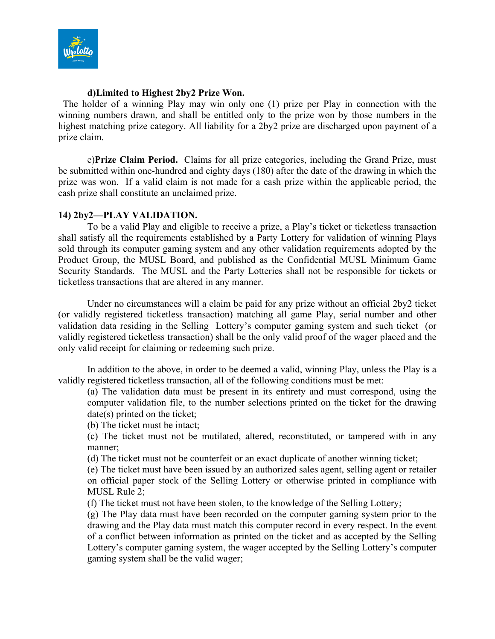

### **d)Limited to Highest 2by2 Prize Won.**

The holder of a winning Play may win only one (1) prize per Play in connection with the winning numbers drawn, and shall be entitled only to the prize won by those numbers in the highest matching prize category. All liability for a 2by2 prize are discharged upon payment of a prize claim.

e)**Prize Claim Period.** Claims for all prize categories, including the Grand Prize, must be submitted within one-hundred and eighty days (180) after the date of the drawing in which the prize was won. If a valid claim is not made for a cash prize within the applicable period, the cash prize shall constitute an unclaimed prize.

### **14) 2by2—PLAY VALIDATION.**

To be a valid Play and eligible to receive a prize, a Play's ticket or ticketless transaction shall satisfy all the requirements established by a Party Lottery for validation of winning Plays sold through its computer gaming system and any other validation requirements adopted by the Product Group, the MUSL Board, and published as the Confidential MUSL Minimum Game Security Standards. The MUSL and the Party Lotteries shall not be responsible for tickets or ticketless transactions that are altered in any manner.

Under no circumstances will a claim be paid for any prize without an official 2by2 ticket (or validly registered ticketless transaction) matching all game Play, serial number and other validation data residing in the Selling Lottery's computer gaming system and such ticket (or validly registered ticketless transaction) shall be the only valid proof of the wager placed and the only valid receipt for claiming or redeeming such prize.

In addition to the above, in order to be deemed a valid, winning Play, unless the Play is a validly registered ticketless transaction, all of the following conditions must be met:

(a) The validation data must be present in its entirety and must correspond, using the computer validation file, to the number selections printed on the ticket for the drawing date(s) printed on the ticket;

(b) The ticket must be intact;

(c) The ticket must not be mutilated, altered, reconstituted, or tampered with in any manner;

(d) The ticket must not be counterfeit or an exact duplicate of another winning ticket;

(e) The ticket must have been issued by an authorized sales agent, selling agent or retailer on official paper stock of the Selling Lottery or otherwise printed in compliance with MUSL Rule 2;

(f) The ticket must not have been stolen, to the knowledge of the Selling Lottery;

(g) The Play data must have been recorded on the computer gaming system prior to the drawing and the Play data must match this computer record in every respect. In the event of a conflict between information as printed on the ticket and as accepted by the Selling Lottery's computer gaming system, the wager accepted by the Selling Lottery's computer gaming system shall be the valid wager;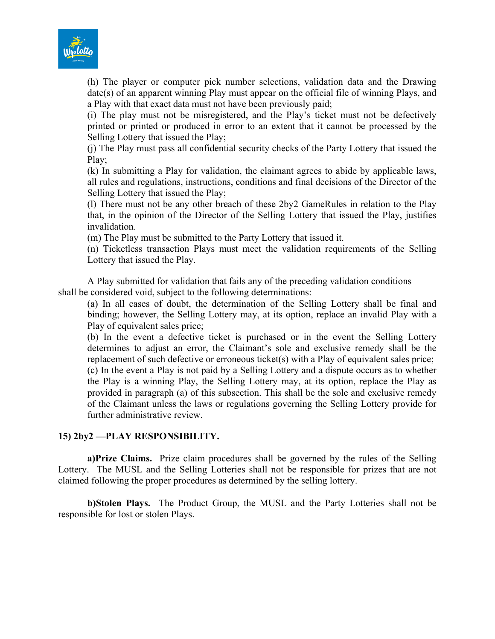

(h) The player or computer pick number selections, validation data and the Drawing date(s) of an apparent winning Play must appear on the official file of winning Plays, and a Play with that exact data must not have been previously paid;

(i) The play must not be misregistered, and the Play's ticket must not be defectively printed or printed or produced in error to an extent that it cannot be processed by the Selling Lottery that issued the Play;

(j) The Play must pass all confidential security checks of the Party Lottery that issued the Play;

(k) In submitting a Play for validation, the claimant agrees to abide by applicable laws, all rules and regulations, instructions, conditions and final decisions of the Director of the Selling Lottery that issued the Play;

(l) There must not be any other breach of these 2by2 GameRules in relation to the Play that, in the opinion of the Director of the Selling Lottery that issued the Play, justifies invalidation.

(m) The Play must be submitted to the Party Lottery that issued it.

(n) Ticketless transaction Plays must meet the validation requirements of the Selling Lottery that issued the Play.

A Play submitted for validation that fails any of the preceding validation conditions shall be considered void, subject to the following determinations:

(a) In all cases of doubt, the determination of the Selling Lottery shall be final and binding; however, the Selling Lottery may, at its option, replace an invalid Play with a Play of equivalent sales price;

(b) In the event a defective ticket is purchased or in the event the Selling Lottery determines to adjust an error, the Claimant's sole and exclusive remedy shall be the replacement of such defective or erroneous ticket(s) with a Play of equivalent sales price;

(c) In the event a Play is not paid by a Selling Lottery and a dispute occurs as to whether the Play is a winning Play, the Selling Lottery may, at its option, replace the Play as provided in paragraph (a) of this subsection. This shall be the sole and exclusive remedy of the Claimant unless the laws or regulations governing the Selling Lottery provide for further administrative review.

# **15) 2by2 —PLAY RESPONSIBILITY.**

**a)Prize Claims.** Prize claim procedures shall be governed by the rules of the Selling Lottery.The MUSL and the Selling Lotteries shall not be responsible for prizes that are not claimed following the proper procedures as determined by the selling lottery.

**b)Stolen Plays.** The Product Group, the MUSL and the Party Lotteries shall not be responsible for lost or stolen Plays.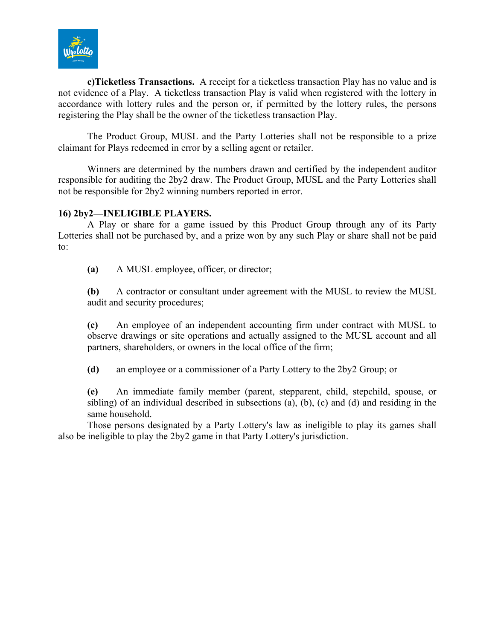

**c)Ticketless Transactions.** A receipt for a ticketless transaction Play has no value and is not evidence of a Play. A ticketless transaction Play is valid when registered with the lottery in accordance with lottery rules and the person or, if permitted by the lottery rules, the persons registering the Play shall be the owner of the ticketless transaction Play.

The Product Group, MUSL and the Party Lotteries shall not be responsible to a prize claimant for Plays redeemed in error by a selling agent or retailer.

Winners are determined by the numbers drawn and certified by the independent auditor responsible for auditing the 2by2 draw. The Product Group, MUSL and the Party Lotteries shall not be responsible for 2by2 winning numbers reported in error.

### **16) 2by2—INELIGIBLE PLAYERS.**

A Play or share for a game issued by this Product Group through any of its Party Lotteries shall not be purchased by, and a prize won by any such Play or share shall not be paid to:

**(a)** A MUSL employee, officer, or director;

**(b)** A contractor or consultant under agreement with the MUSL to review the MUSL audit and security procedures;

**(c)** An employee of an independent accounting firm under contract with MUSL to observe drawings or site operations and actually assigned to the MUSL account and all partners, shareholders, or owners in the local office of the firm;

**(d)** an employee or a commissioner of a Party Lottery to the 2by2 Group; or

**(e)** An immediate family member (parent, stepparent, child, stepchild, spouse, or sibling) of an individual described in subsections (a), (b), (c) and (d) and residing in the same household.

Those persons designated by a Party Lottery's law as ineligible to play its games shall also be ineligible to play the 2by2 game in that Party Lottery's jurisdiction.